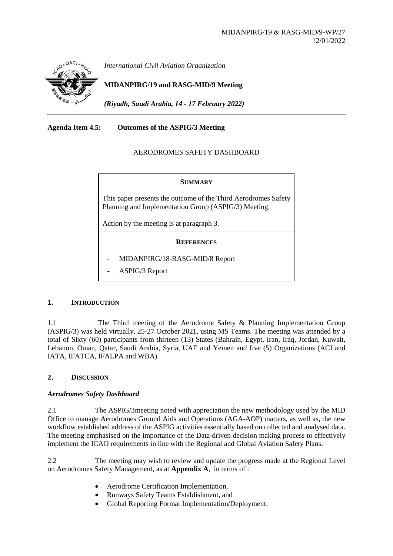

*International Civil Aviation Organization*

# **MIDANPIRG/19 and RASG-MID/9 Meeting**

*(Riyadh, Saudi Arabia, 14 - 17 February 2022)*

# **Agenda Item 4.5: Outcomes of the ASPIG/3 Meeting**

## AERODROMES SAFETY DASHBOARD

#### **SUMMARY**

This paper presents the outcome of the Third Aerodromes Safety Planning and Implementation Group (ASPIG/3) Meeting.

Action by the meeting is at paragraph 3.

#### **REFERENCES**

- MIDANPIRG/18-RASG-MID/8 Report
- ASPIG/3 Report

#### **1. INTRODUCTION**

1.1 The Third meeting of the Aerodrome Safety & Planning Implementation Group (ASPIG/3) was held virtually, 25-27 October 2021, using MS Teams. The meeting was attended by a total of Sixty (60) participants from thirteen (13) States (Bahrain, Egypt, Iran, Iraq, Jordan, Kuwait, Lebanon, Oman, Qatar, Saudi Arabia, Syria, UAE and Yemen and five (5) Organizations (ACI and IATA, IFATCA, IFALPA and WBA)

#### **2. DISCUSSION**

#### *Aerodromes Safety Dashboard*

2.1 The ASPIG/3meeting noted with appreciation the new methodology used by the MID Office to manage Aerodromes Ground Aids and Operations (AGA-AOP) matters, as well as, the new workflow established address of the ASPIG activities essentially based on collected and analysed data. The meeting emphasised on the importance of the Data-driven decision making process to effectively implement the ICAO requirements in line with the Regional and Global Aviation Safety Plans.

2.2 The meeting may wish to review and update the progress made at the Regional Level on Aerodromes Safety Management, as at **Appendix A**, in terms of :

- Aerodrome Certification Implementation,
- Runways Safety Teams Establishment, and
- Global Reporting Format Implementation/Deployment.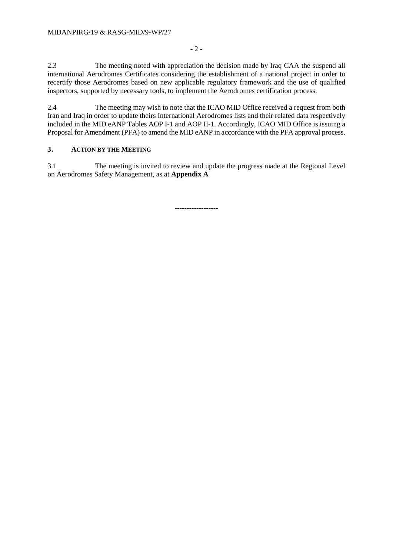2.3 The meeting noted with appreciation the decision made by Iraq CAA the suspend all international Aerodromes Certificates considering the establishment of a national project in order to recertify those Aerodromes based on new applicable regulatory framework and the use of qualified inspectors, supported by necessary tools, to implement the Aerodromes certification process.

- 2 -

2.4 The meeting may wish to note that the ICAO MID Office received a request from both Iran and Iraq in order to update theirs International Aerodromes lists and their related data respectively included in the MID eANP Tables AOP I-1 and AOP II-1. Accordingly, ICAO MID Office is issuing a Proposal for Amendment (PFA) to amend the MID eANP in accordance with the PFA approval process.

# **3. ACTION BY THE MEETING**

3.1 The meeting is invited to review and update the progress made at the Regional Level on Aerodromes Safety Management, as at **Appendix A**

**------------------**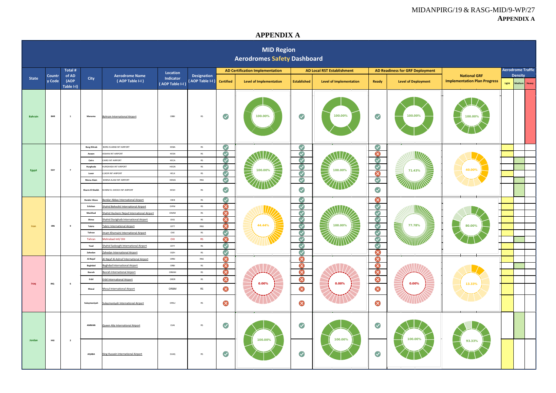### MIDANPIRG/19 & RASG-MID/9-WP/27 **APPENDIX A**

### **APPENDIX A**

|              | <b>MID Region</b><br><b>Aerodromes Safety Dashboard</b> |                         |                     |                                            |                             |                                |                       |                                        |                      |                                   |                       |                                        |                                                            |       |                                   |  |  |
|--------------|---------------------------------------------------------|-------------------------|---------------------|--------------------------------------------|-----------------------------|--------------------------------|-----------------------|----------------------------------------|----------------------|-----------------------------------|-----------------------|----------------------------------------|------------------------------------------------------------|-------|-----------------------------------|--|--|
|              |                                                         | Total #                 |                     |                                            | <b>Location</b>             |                                |                       | <b>AD Certification Implementation</b> |                      | <b>AD Local RST Establishment</b> |                       | <b>AD Readiness for GRF Deployment</b> |                                                            |       | <b>Aerodrome Traffic</b>          |  |  |
| <b>State</b> | Countr<br>(AOP<br>y Code                                | of AD<br>Table I-I)     | City                | <b>Aerodrome Name</b><br>(AOP Table I-I)   | Indicator<br>AOP Table I-I) | Designation<br>(AOP Table I-I) | <b>Certified</b>      | <b>Level of Implementation</b>         | <b>Established</b>   | <b>Level of Implementation</b>    | <b>Ready</b>          | <b>Level of Deployment</b>             | <b>National GRF</b><br><b>Implementation Plan Progress</b> | Light | <b>Density</b><br>Heavy<br>Medium |  |  |
| Bahrain      | <b>BHR</b>                                              | $\mathbf 1$             | Manama              | <b>Bahrain International Airport</b>       | OBBI                        | ${\sf RS}$                     | $\blacktriangledown$  | 100.00%                                | $\blacktriangledown$ | 100.00%                           | $\blacktriangledown$  | 100.00%                                | 100.00%                                                    |       |                                   |  |  |
|              |                                                         |                         | <b>Borg ElArab</b>  | BORG ELARAB INT AIRPORT                    | HEBA                        | <b>RS</b>                      | $\blacktriangledown$  |                                        | $\blacktriangledown$ |                                   | $\blacktriangledown$  |                                        |                                                            |       |                                   |  |  |
|              |                                                         |                         | Aswan               | <b>ASWAN INT AIRPORT</b>                   | HESN                        | RS                             | $\bullet$             |                                        | $\bigcirc$           |                                   | $\bullet$             |                                        |                                                            |       |                                   |  |  |
|              |                                                         |                         | Cairo               | CAIRO INT AIRPORT                          | HECA                        | RS                             | $\bullet$             |                                        | $\bullet$            |                                   |                       |                                        |                                                            |       |                                   |  |  |
|              | EGY                                                     | $\overline{7}$          | Hurghada            | <b>URGHADA INT AIRPORT</b>                 | HEGN                        | $\mathsf{RS}$                  | $\blacktriangledown$  | 100.00%                                | $\blacktriangledown$ | 100.00%                           |                       | 71.43%                                 | 40.00%                                                     |       |                                   |  |  |
| Egypt        |                                                         |                         | Luxor               | LUXOR INT AIRPORT                          | HELX                        | $\mathsf{RS}$                  | Q                     | F                                      | $\blacklozenge$      | E                                 | 888                   | T                                      |                                                            |       |                                   |  |  |
|              |                                                         |                         | Marsa Alan          | MARSA ALAM INT AIRPORT                     | HEMA                        | RNS                            | $\bullet$             |                                        | $\bigcirc$           |                                   | $\odot$               |                                        |                                                            |       |                                   |  |  |
|              |                                                         |                         | Sharm El Sheikh     | HARM EL SHEIKH INT AIRPORT                 | HESH                        | RS                             | $\bullet$             |                                        | $\blacktriangledown$ |                                   | $\blacktriangledown$  |                                        |                                                            |       |                                   |  |  |
|              |                                                         |                         | <b>Bander Abass</b> | <b>Bandar Abbas International Airport</b>  | OIKB                        | RS                             | $\bullet$             |                                        | $\blacktriangledown$ |                                   | $\bullet$             |                                        |                                                            |       |                                   |  |  |
|              |                                                         |                         | Esfahan             | Shahid Beheshti International Airport      | $\mathsf{OIFM}\xspace$      | $\mathsf{RS}$                  | $\boldsymbol{\Omega}$ |                                        | $\blacktriangledown$ |                                   | $\bigcirc$<br>४८८८८८८ |                                        |                                                            |       |                                   |  |  |
|              |                                                         |                         | Mashhad             | Shahid Hashemi Nejad International Airport | OIMM                        | $\mathsf{RS}$                  | Ø                     |                                        | $\blacktriangledown$ |                                   |                       |                                        |                                                            |       |                                   |  |  |
|              |                                                         |                         | Shiraz              | Shahid Dastghaib International Airport     | OISS                        | $\mathsf{RS}$                  | ⊗                     | 44.44%                                 | $\blacktriangledown$ |                                   |                       |                                        |                                                            |       |                                   |  |  |
| Iran         | $\ensuremath{\mathsf{IRN}}\xspace$                      | $\overline{9}$          | Tabriz              | <b>Tabriz International Airport</b>        | OITT                        | RNS                            | 3                     |                                        | $\bigcirc$           | 100.00%                           |                       | <b>Service</b>                         | 80.00%                                                     |       |                                   |  |  |
|              |                                                         |                         | Tahran              | Imam Khomaini International Airport        | $_{\rm OHE}$                | $\mathsf{RS}$                  | $\bullet$             |                                        | $\bigcirc$           |                                   |                       |                                        |                                                            |       |                                   |  |  |
|              |                                                         |                         | Tahran              | Mehrabad Intl/OIII                         | OIII                        | RS                             | ⊗                     |                                        | $\blacktriangledown$ |                                   |                       |                                        |                                                            |       |                                   |  |  |
|              |                                                         |                         | Yazd                | Shahid Sadooghi International Airport      | OIYY                        | RS                             | $\bullet$             |                                        | $\bigcirc$           |                                   |                       |                                        |                                                            |       |                                   |  |  |
|              |                                                         |                         | Zahedan             | Zahedan International Airport              | OIZH                        | $\mathsf{RS}$                  | $\blacktriangledown$  |                                        | $\blacktriangledown$ |                                   |                       |                                        |                                                            |       |                                   |  |  |
|              |                                                         |                         | Al-Najaf            | Al-Najaf Al-Ashraf International Airport   | ORNI                        | RNS                            | Ø                     |                                        | ⊗                    |                                   | $\infty$              |                                        |                                                            |       |                                   |  |  |
|              |                                                         |                         | Baghdad             | <b>Baghdad International Airport</b>       | ${\sf ORBI}$                | $\mathsf{RS}$                  | $\bullet$             |                                        | S                    |                                   | $\bullet$             |                                        |                                                            |       |                                   |  |  |
|              |                                                         |                         | Basrah              | <b>Basrah International Airport</b>        | ORMM                        | RS                             | ⊗                     |                                        | ⊗                    |                                   | $\bar{\bm{\circ}}$    |                                        |                                                            |       |                                   |  |  |
|              | <b>IRQ</b>                                              | 6                       | Erbil               | <b>Erbil International Airport</b>         | ORER                        | $\mathsf{RS}$                  | ⊗                     | 0.00%                                  | ⊗                    | 0.00%                             | $\bullet$             | $0.00\%$                               |                                                            |       |                                   |  |  |
| Iraq         |                                                         |                         | Mosul               | <b>Mosul International Airport</b>         | ORBM                        | RS                             | ⊗                     |                                        | ⊗                    |                                   | ⊗                     |                                        | 13.33%                                                     |       |                                   |  |  |
|              |                                                         |                         | Sulaymaniyah        | Sulaymaniyah International Airport         | ORSU                        | $\mathsf{RS}$                  | $\infty$              |                                        | ⊗                    | $\infty$                          |                       |                                        |                                                            |       |                                   |  |  |
|              |                                                         |                         | AMMAN               | Queen Alia International Airport           | OJAI                        | RS                             | $\bullet$             |                                        | $\blacktriangledown$ |                                   | $\blacktriangledown$  |                                        |                                                            |       |                                   |  |  |
| Jordan       | HKJ                                                     | $\overline{\mathbf{2}}$ | AQABA               | King Hussein International Airport         | OJAQ                        | $\mathsf{RS}$                  | $\blacktriangledown$  | 100.00%                                | $\blacktriangledown$ | 100.00%                           | $\bigcirc$            | 100.00%                                | 93.33%                                                     |       |                                   |  |  |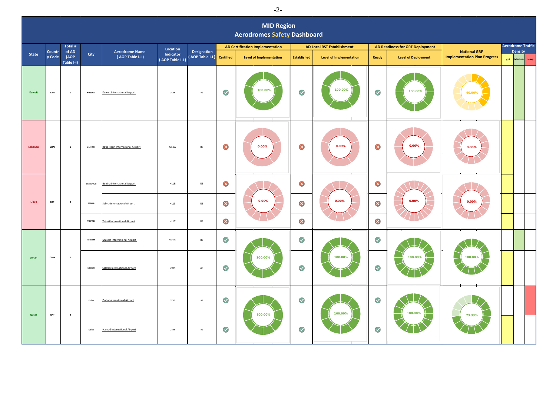|              | ∽                                                       |                             |                 |                                          |                              |                                       |                      |                                        |                                   |                                |                                        |                            |                                                            |                          |                 |
|--------------|---------------------------------------------------------|-----------------------------|-----------------|------------------------------------------|------------------------------|---------------------------------------|----------------------|----------------------------------------|-----------------------------------|--------------------------------|----------------------------------------|----------------------------|------------------------------------------------------------|--------------------------|-----------------|
|              | <b>MID Region</b><br><b>Aerodromes Safety Dashboard</b> |                             |                 |                                          |                              |                                       |                      |                                        |                                   |                                |                                        |                            |                                                            |                          |                 |
|              |                                                         | Total #                     |                 |                                          | Location                     |                                       |                      | <b>AD Certification Implementation</b> | <b>AD Local RST Establishment</b> |                                | <b>AD Readiness for GRF Deployment</b> |                            |                                                            |                          |                 |
| <b>State</b> | <b>Countr</b><br>y Code                                 | of AD<br>(AOP<br>Table I-I) | City            | <b>Aerodrome Name</b><br>(AOP Table I-I) | Indicator<br>(AOP Table I-I) | <b>Designation</b><br>(AOP Table I-I) | <b>Certified</b>     | <b>Level of Implementation</b>         | <b>Established</b>                | <b>Level of Implementation</b> | Ready                                  | <b>Level of Deployment</b> | <b>National GRF</b><br><b>Implementation Plan Progress</b> | Light                    | Medium<br>Heavy |
| Kuwait       | KWT                                                     | $\mathbf 1$                 | KUWAIT          | <b>Kuwait International Airport</b>      | OKBK                         | $\mathsf{RS}$                         | $\blacktriangledown$ | 100.00%                                | $\bigcirc$                        | 100.00%                        | $\blacktriangledown$                   | 100.00%                    | 40.00%                                                     |                          |                 |
| Lebanon      | LBN                                                     | $\mathbf{1}$                | BEIRUT          | Rafic Hariri International Airport       | OLBA                         | ${\sf RS}$                            | $\infty$             | 0.00%                                  | ⊗                                 | 0.00%                          | $\bullet$                              | 0.00%                      | 0.00%                                                      |                          |                 |
|              |                                                         |                             | <b>BENGHAZI</b> | Benina International Airport             | <b>HLLB</b>                  | RS                                    | $\infty$             |                                        | ⊗                                 |                                | $\bullet$                              |                            |                                                            |                          |                 |
| Libya        | LBY<br>$\overline{\mathbf{3}}$                          |                             | <b>SEBHA</b>    | Sebha International Airport              | <b>HLLS</b>                  | $\mathsf{RS}$                         | ⊗                    | $0.00\%$                               | ⊗                                 | 0.00%                          | $\infty$                               | $0.00\%$                   | $0.00\%$                                                   |                          |                 |
|              |                                                         |                             | TRIPOLI         | <b>Tripoli International Airport</b>     | HLLT                         | $\mathsf{RS}$                         | ⊗                    |                                        | ⊗                                 |                                | $\infty$                               |                            |                                                            | <b>Density</b>           |                 |
|              |                                                         |                             | Muscat          | Muscat International Airport             | OOMS                         | ${\sf RS}$                            | $\blacktriangledown$ |                                        | $\blacktriangledown$              |                                | $\blacktriangledown$                   |                            |                                                            | <b>Aerodrome Traffic</b> |                 |
| Oman         | OMN                                                     | $\overline{\mathbf{2}}$     | Salalah         | Salalah International Airport            | OOSA                         | $\mathsf{AS}$                         | $\blacktriangledown$ | 100.00%                                | $\blacktriangledown$              | 100.00%                        | $\blacktriangledown$                   | 100.00%                    | 100.00%                                                    |                          |                 |
|              |                                                         |                             | Doha            | Doha International Airport               | OTBD                         | $\mathsf{RS}$                         | $\blacktriangledown$ | 100.00%                                | $\blacktriangledown$              | 100.00%                        | $\blacktriangledown$                   | 100.00%                    |                                                            |                          |                 |
| Qatar        | QAT                                                     | $\overline{\mathbf{2}}$     | Doha            | <b>Hamad International Airport</b>       | <b>OTHH</b>                  | $\mathsf{RS}$                         | $\blacktriangledown$ |                                        | $\blacktriangledown$              |                                | $\blacktriangledown$                   |                            | 73.33%                                                     |                          |                 |

-2-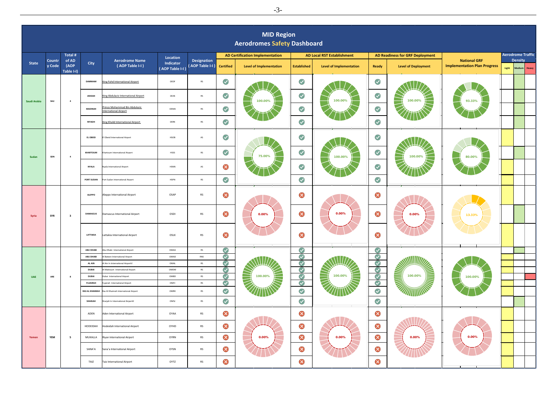|              | <b>MID Region</b><br><b>Aerodromes Safety Dashboard</b> |                             |                                          |                                                                     |                              |                                 |                                   |                                   |                         |                                        |                      |                            |                                                            |       |                                   |
|--------------|---------------------------------------------------------|-----------------------------|------------------------------------------|---------------------------------------------------------------------|------------------------------|---------------------------------|-----------------------------------|-----------------------------------|-------------------------|----------------------------------------|----------------------|----------------------------|------------------------------------------------------------|-------|-----------------------------------|
|              | Total #                                                 |                             | Location                                 |                                                                     |                              | AD Certification Implementation |                                   | <b>AD Local RST Establishment</b> |                         | <b>AD Readiness for GRF Deployment</b> |                      |                            | <b>Aerodrome Traffic</b>                                   |       |                                   |
| <b>State</b> | Countr<br>y Code                                        | of AD<br>(AOP<br>Table I-I) | City                                     | <b>Aerodrome Name</b><br>(AOP Table I-I)                            | Indicator<br>(AOP Table I-I) | Designation<br>(AOP Table I-I)  | <b>Certified</b>                  | <b>Level of Implementation</b>    | <b>Established</b>      | <b>Level of Implementation</b>         | Ready                | <b>Level of Deployment</b> | <b>National GRF</b><br><b>Implementation Plan Progress</b> | Light | <b>Density</b><br>Medium<br>Heavy |
| Saudi Arabia |                                                         |                             | DAMMAM                                   | King Fahd International Airport                                     | OEDF                         | ${\sf RS}$                      | $\blacktriangledown$              |                                   | $\blacktriangledown$    |                                        | $\blacktriangledown$ |                            |                                                            |       |                                   |
|              | SAU                                                     | $\sqrt{4}$                  | <b>JEDDAH</b>                            | King Abdulaziz International Airport                                | OEJN                         | ${\sf RS}$                      | $\blacktriangledown$              | 100.00%                           | $\blacktriangledown$    | 100.00%                                | $\blacktriangledown$ | 100.00%<br>and the         | 93.33%                                                     |       |                                   |
|              |                                                         |                             | MADINAH                                  | rince Mohammad Bin Abdulaziz<br>nternational Airport                | OEMA                         | ${\sf RS}$                      | $\blacktriangledown$              |                                   | $\blacktriangledown$    |                                        | $\blacktriangledown$ |                            |                                                            |       |                                   |
|              |                                                         |                             | RIYADH                                   | King Khalid International Airport                                   | OERK                         | $\mathsf{RS}$                   | $\blacktriangledown$              |                                   | $\blacktriangledown$    |                                        | $\blacktriangledown$ |                            |                                                            |       |                                   |
| Sudan        |                                                         |                             | EL OBEID                                 | <b>Obeid International Airport</b>                                  | HSOB                         | $\mathsf{AS}$                   | $\blacktriangledown$              |                                   | $\blacktriangledown$    |                                        | $\blacktriangledown$ |                            |                                                            |       |                                   |
|              | SDN                                                     | $\overline{a}$              | KHARTOUM                                 | hartoum International Airport                                       | HSSS                         | ${\sf RS}$                      | $\blacktriangledown$              | 75.00%                            | $\blacktriangledown$    | 100.00%                                | $\blacktriangledown$ | 100.00%                    | 80.00%                                                     |       |                                   |
|              |                                                         |                             | <b>NYALA</b>                             | <b>Nyala International Airport</b>                                  | HSNN                         | $\mathsf{AS}$                   | $\infty$                          |                                   | $\blacktriangledown$    |                                        | $\blacktriangledown$ |                            |                                                            |       |                                   |
|              |                                                         |                             | PORT SUDAN                               | ort Sudan International Airport                                     | HSPN                         | $\mathsf{RS}$                   | $\blacktriangledown$              |                                   | $\blacktriangledown$    |                                        | $\blacktriangledown$ |                            |                                                            |       |                                   |
|              |                                                         |                             | <b>ALEPPO</b>                            | Aleppo International Airport                                        | OSAP                         | RS                              | $\mathbf{x}$                      |                                   | ⊗                       |                                        | ⊗                    |                            |                                                            |       |                                   |
| Syria        | SYR                                                     | $\overline{\mathbf{3}}$     | <b>DAMASCUS</b>                          | Damascus International Airport                                      | OSDI                         | ${\sf RS}$                      | $\infty$                          | $0.00\%$                          | ⊗                       | 0.00%                                  | $\infty$             | 0.00%                      | 13.33%                                                     |       |                                   |
|              |                                                         |                             | LATTAKIA                                 | Lattakia International Airport                                      | OSLK                         | RS                              | $\infty$                          |                                   | ⊗                       |                                        | $\bullet$            |                            |                                                            |       |                                   |
|              |                                                         |                             | <b>ABU DHABI</b>                         | bu Dhabi International Airport                                      | OMAA                         | $\mathsf{RS}$                   | $\bullet$                         |                                   | $\blacktriangledown$    |                                        |                      |                            |                                                            |       |                                   |
|              |                                                         |                             | <b>ABU DHABI</b>                         | Bateen International Airport                                        | OMAD                         | $\ensuremath{\mathsf{RNS}}$     | $\bullet$                         |                                   | $\bullet$               |                                        |                      |                            |                                                            |       |                                   |
|              |                                                         |                             | AL AIN                                   | Ain In International Airporttl                                      | OMAL                         | $\mathsf{RS}$                   | $\bullet$                         |                                   | $\bullet$               |                                        |                      |                            |                                                            |       |                                   |
|              |                                                         |                             | <b>DUBAI</b>                             | Maktoum International Airport                                       | OMDW                         | $\mathsf{RS}$                   | $\blacklozenge$                   |                                   | $\blacktriangledown$    |                                        | 88888                |                            |                                                            |       |                                   |
| <b>UAE</b>   | ARE                                                     | 8                           | <b>DUBAI</b>                             | Ibai International Airport                                          | OMBD                         | ${\sf RS}$                      | $\bullet$                         | 100.00%<br>Ē                      | $\bullet$               | 100.00%                                |                      | NING<br>100.00%            | 100.00%                                                    |       |                                   |
|              |                                                         |                             | <b>FUJAIRAH</b><br><b>RAS AL KHAIMAH</b> | jairah International Airport<br>as Al Khaimah International Airport | OMFJ<br>OMRK                 | ${\sf RS}$<br>${\sf RS}$        | $\bullet$<br>$\blacktriangledown$ |                                   | $\bigcirc$<br>$\bullet$ |                                        | $\blacktriangledown$ |                            |                                                            |       |                                   |
|              |                                                         |                             | SHARJAH                                  | arjah In International Airporttl                                    | OMSJ                         | $\mathsf{RS}$                   | $\bullet$                         |                                   | $\bullet$               |                                        | $\blacktriangledown$ |                            |                                                            |       |                                   |
|              |                                                         |                             | ADEN                                     | Aden International Airport                                          | OYAA                         | RS                              | $\infty$<br>÷                     |                                   | Ø<br>÷                  |                                        | $\infty$             |                            |                                                            |       |                                   |
|              |                                                         |                             | HODEIDAH                                 | Hodeidah International Airport                                      | OYHD                         | <b>RS</b>                       | $\infty$                          |                                   | $\infty$                |                                        | $\bullet$            |                            |                                                            |       |                                   |
| Yemen        | YEM                                                     | 5                           | MUKALLA                                  | Riyan International Airport                                         | OYRN                         | ${\sf RS}$                      | ⊗                                 | $0.00\%$                          | ⊗                       | 0.00%                                  | ⊗                    | 0.00%                      | 0.00%                                                      |       |                                   |
|              |                                                         |                             | SANA'A                                   | Sana'a International Airport                                        | OYSN                         | <b>RS</b>                       | $\infty$                          |                                   | $\infty$                |                                        | $\bullet$            |                            |                                                            |       |                                   |
|              |                                                         |                             | TAIZ                                     | Taiz International Airport                                          | OYTZ                         | RS                              | $\infty$                          |                                   | ⊗                       |                                        | $\infty$             |                            |                                                            |       |                                   |